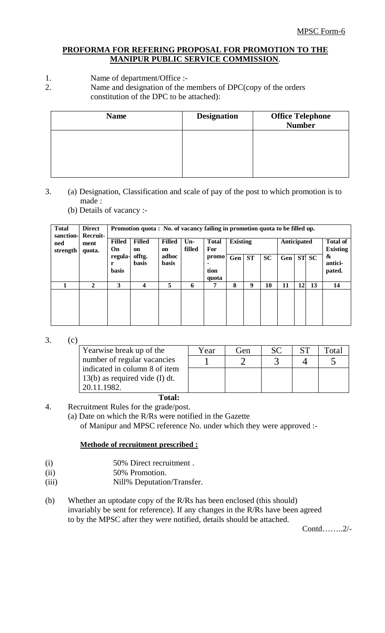## **PROFORMA FOR REFERING PROPOSAL FOR PROMOTION TO THE MANIPUR PUBLIC SERVICE COMMISSION**.

- 1. Name of department/Office :-<br>2. Name and designation of the r
	- Name and designation of the members of DPC(copy of the orders constitution of the DPC to be attached):

| <b>Name</b> | <b>Designation</b> | <b>Office Telephone</b><br><b>Number</b> |
|-------------|--------------------|------------------------------------------|
|             |                    |                                          |
|             |                    |                                          |
|             |                    |                                          |

- 3. (a) Designation, Classification and scale of pay of the post to which promotion is to made :
	- (b) Details of vacancy :-

| <b>Total</b><br>sanction- | <b>Direct</b><br>Recruit- | Promotion quota: No. of vacancy failing in promotion quota to be filled up. |                        |                       |                        |     |                            |                 |     |             |       |                                    |    |
|---------------------------|---------------------------|-----------------------------------------------------------------------------|------------------------|-----------------------|------------------------|-----|----------------------------|-----------------|-----|-------------|-------|------------------------------------|----|
| ned<br>strength           | ment<br>quota.            | <b>Filled</b><br>On                                                         | <b>Filled</b><br>on    | <b>Filled</b><br>on   | $Un-$<br>filled        |     | <b>Total</b><br><b>For</b> | <b>Existing</b> |     | Anticipated |       | <b>Total of</b><br><b>Existing</b> |    |
|                           |                           | regula-<br>r<br><b>basis</b>                                                | offtg.<br><b>basis</b> | adhoc<br><b>basis</b> | promo<br>tion<br>quota | Gen | <b>ST</b>                  | <b>SC</b>       | Gen |             | ST SC | &<br>antici-<br>pated.             |    |
|                           | $\mathbf{2}$              | 3                                                                           | 4                      | 5                     | 6                      | 7   | 8                          | 9               | 10  | 11          | 12    | 13                                 | 14 |

3. (c)

| Yearwise break up of the         | Year | Gen | <b>SC</b> | <b>ST</b> | Fotal |
|----------------------------------|------|-----|-----------|-----------|-------|
| number of regular vacancies      |      |     |           |           |       |
| indicated in column 8 of item    |      |     |           |           |       |
| $13(b)$ as required vide (I) dt. |      |     |           |           |       |
| 20.11.1982.                      |      |     |           |           |       |

# **Total:**

4. Recruitment Rules for the grade/post.

(a) Date on which the R/Rs were notified in the Gazette

of Manipur and MPSC reference No. under which they were approved :-

### **Methode of recruitment prescribed :**

- (i) 50% Direct recruitment .
- (ii) 50% Promotion.
- (iii) Nill% Deputation/Transfer.
- (b) Whether an uptodate copy of the R/Rs has been enclosed (this should) invariably be sent for reference). If any changes in the R/Rs have been agreed to by the MPSC after they were notified, details should be attached.

Contd……..2/-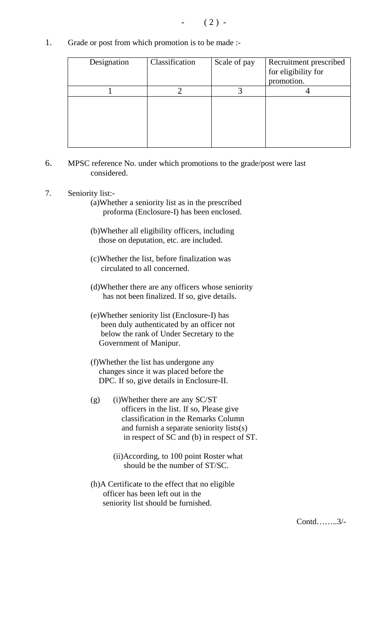1. Grade or post from which promotion is to be made :-

| Designation | Classification | Scale of pay | Recruitment prescribed<br>for eligibility for<br>promotion. |
|-------------|----------------|--------------|-------------------------------------------------------------|
|             |                |              |                                                             |
|             |                |              |                                                             |

- 6. MPSC reference No. under which promotions to the grade/post were last considered.
- 7. Seniority list:-
	- (a)Whether a seniority list as in the prescribed proforma (Enclosure-I) has been enclosed.
	- (b)Whether all eligibility officers, including those on deputation, etc. are included.
	- (c)Whether the list, before finalization was circulated to all concerned.
	- (d)Whether there are any officers whose seniority has not been finalized. If so, give details.
	- (e)Whether seniority list (Enclosure-I) has been duly authenticated by an officer not below the rank of Under Secretary to the Government of Manipur.
	- (f)Whether the list has undergone any changes since it was placed before the DPC. If so, give details in Enclosure-II.
	- (g) (i)Whether there are any SC/ST officers in the list. If so, Please give classification in the Remarks Column and furnish a separate seniority lists(s) in respect of SC and (b) in respect of ST.
		- (ii)According, to 100 point Roster what should be the number of ST/SC.
	- (h)A Certificate to the effect that no eligible officer has been left out in the seniority list should be furnished.

Contd……..3/-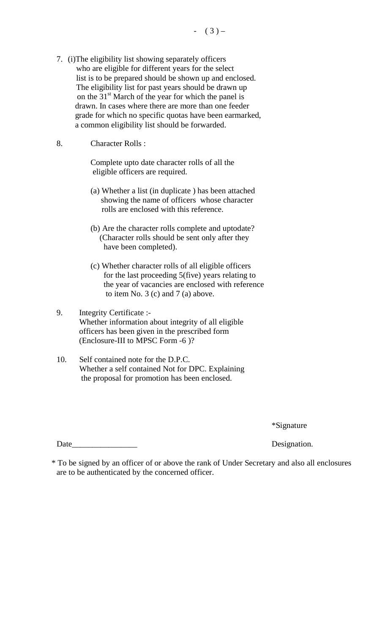7. (i)The eligibility list showing separately officers who are eligible for different years for the select list is to be prepared should be shown up and enclosed. The eligibility list for past years should be drawn up on the  $31<sup>st</sup>$  March of the year for which the panel is drawn. In cases where there are more than one feeder grade for which no specific quotas have been earmarked, a common eligibility list should be forwarded.

#### 8. Character Rolls :

Complete upto date character rolls of all the eligible officers are required.

- (a) Whether a list (in duplicate ) has been attached showing the name of officers whose character rolls are enclosed with this reference.
- (b) Are the character rolls complete and uptodate? (Character rolls should be sent only after they have been completed).
- (c) Whether character rolls of all eligible officers for the last proceeding 5(five) years relating to the year of vacancies are enclosed with reference to item No.  $3$  (c) and  $7$  (a) above.
- 9. Integrity Certificate :- Whether information about integrity of all eligible officers has been given in the prescribed form (Enclosure-III to MPSC Form -6 )?
- 10. Self contained note for the D.P.C. Whether a self contained Not for DPC. Explaining the proposal for promotion has been enclosed.

\*Signature

Date\_\_\_\_\_\_\_\_\_\_\_\_\_\_\_\_ Designation.

 <sup>\*</sup> To be signed by an officer of or above the rank of Under Secretary and also all enclosures are to be authenticated by the concerned officer.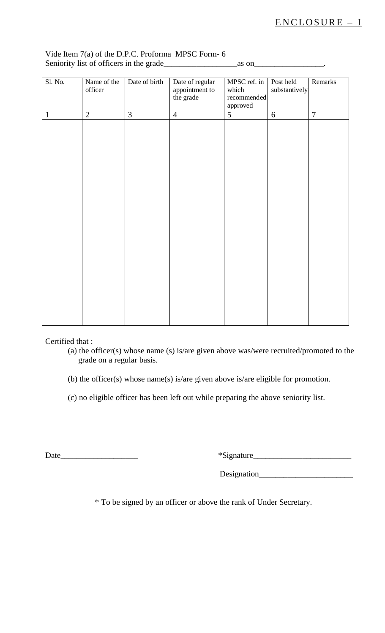| Sl. No.      | Name of the<br>officer | Date of birth  | Date of regular<br>appointment to<br>the grade | MPSC ref. in<br>which<br>recommended<br>approved | Post held<br>substantively | Remarks        |
|--------------|------------------------|----------------|------------------------------------------------|--------------------------------------------------|----------------------------|----------------|
| $\mathbf{1}$ | $\overline{2}$         | $\mathfrak{Z}$ | $\overline{4}$                                 | $\overline{5}$                                   | 6                          | $\overline{7}$ |
|              |                        |                |                                                |                                                  |                            |                |
|              |                        |                |                                                |                                                  |                            |                |
|              |                        |                |                                                |                                                  |                            |                |
|              |                        |                |                                                |                                                  |                            |                |
|              |                        |                |                                                |                                                  |                            |                |
|              |                        |                |                                                |                                                  |                            |                |
|              |                        |                |                                                |                                                  |                            |                |
|              |                        |                |                                                |                                                  |                            |                |
|              |                        |                |                                                |                                                  |                            |                |
|              |                        |                |                                                |                                                  |                            |                |
|              |                        |                |                                                |                                                  |                            |                |
|              |                        |                |                                                |                                                  |                            |                |
|              |                        |                |                                                |                                                  |                            |                |
|              |                        |                |                                                |                                                  |                            |                |
|              |                        |                |                                                |                                                  |                            |                |
|              |                        |                |                                                |                                                  |                            |                |
|              |                        |                |                                                |                                                  |                            |                |
|              |                        |                |                                                |                                                  |                            |                |

## Vide Item 7(a) of the D.P.C. Proforma MPSC Form- 6 Seniority list of officers in the grade\_\_\_\_\_\_\_\_\_\_\_\_\_\_\_\_\_\_as on\_\_\_\_\_\_\_\_\_\_\_\_\_\_\_\_\_.

Certified that :

(a) the officer(s) whose name (s) is/are given above was/were recruited/promoted to the grade on a regular basis.

(b) the officer(s) whose name(s) is/are given above is/are eligible for promotion.

(c) no eligible officer has been left out while preparing the above seniority list.

Date\_\_\_\_\_\_\_\_\_\_\_\_\_\_\_\_\_\_\_ \*Signature\_\_\_\_\_\_\_\_\_\_\_\_\_\_\_\_\_\_\_\_\_\_\_\_

Designation\_\_\_\_\_\_\_\_\_\_\_\_\_\_\_\_\_\_\_\_\_\_\_

\* To be signed by an officer or above the rank of Under Secretary.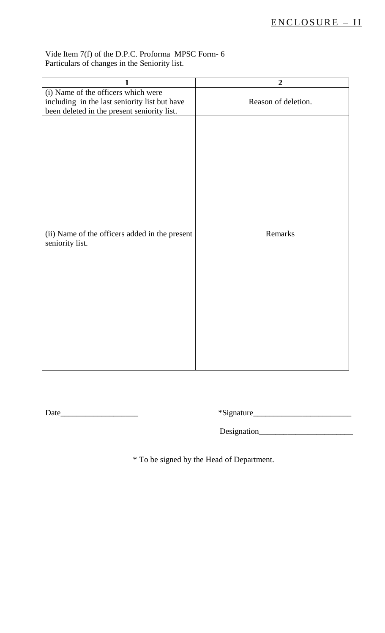## Vide Item 7(f) of the D.P.C. Proforma MPSC Form- 6 Particulars of changes in the Seniority list.

| 1                                              | $\overline{2}$      |
|------------------------------------------------|---------------------|
| (i) Name of the officers which were            |                     |
| including in the last seniority list but have  | Reason of deletion. |
| been deleted in the present seniority list.    |                     |
|                                                |                     |
| (ii) Name of the officers added in the present | Remarks             |
| seniority list.                                |                     |
|                                                |                     |

Date\_\_\_\_\_\_\_\_\_\_\_\_\_\_\_\_\_\_\_ \*Signature\_\_\_\_\_\_\_\_\_\_\_\_\_\_\_\_\_\_\_\_\_\_\_\_

Designation\_\_\_\_\_\_\_\_\_\_\_\_\_\_\_\_\_\_\_\_\_\_\_

\* To be signed by the Head of Department.